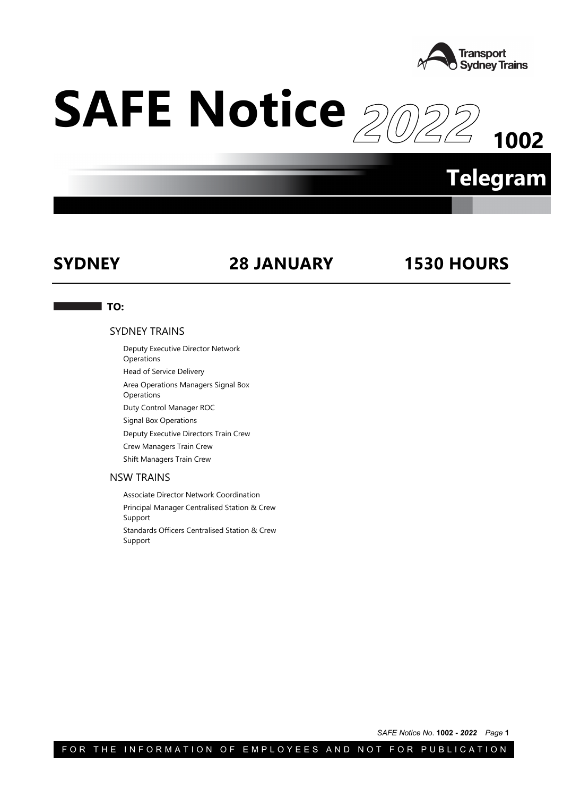

# **SAFE Notice**

**1002**

# **Telegram**

# **SYDNEY 28 JANUARY 1530 HOURS**

## **TO:**

## SYDNEY TRAINS

Deputy Executive Director Network

Operations

Head of Service Delivery

Area Operations Managers Signal Box

**Operations** Duty Control Manager ROC

Signal Box Operations

Deputy Executive Directors Train Crew

Crew Managers Train Crew

Shift Managers Train Crew

## NSW TRAINS

Associate Director Network Coordination Principal Manager Centralised Station & Crew Support Standards Officers Centralised Station & Crew Support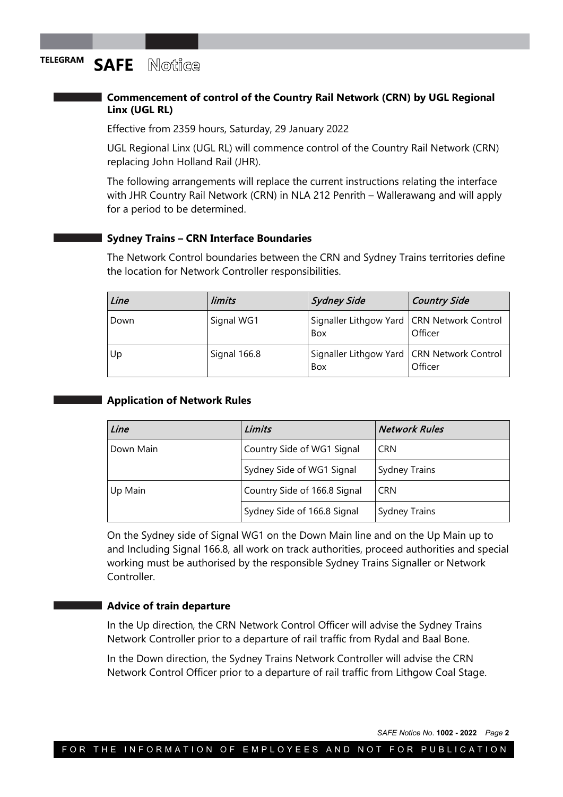## **Commencement of control of the Country Rail Network (CRN) by UGL Regional Linx (UGL RL)**

Effective from 2359 hours, Saturday, 29 January 2022

UGL Regional Linx (UGL RL) will commence control of the Country Rail Network (CRN) replacing John Holland Rail (JHR).

The following arrangements will replace the current instructions relating the interface with JHR Country Rail Network (CRN) in NLA 212 Penrith – Wallerawang and will apply for a period to be determined.

## **Sydney Trains – CRN Interface Boundaries**

The Network Control boundaries between the CRN and Sydney Trains territories define the location for Network Controller responsibilities.

| Line | limits       | <b>Sydney Side</b>                                  | Country Side |
|------|--------------|-----------------------------------------------------|--------------|
| Down | Signal WG1   | Signaller Lithgow Yard   CRN Network Control<br>Box | Officer      |
| Up   | Signal 166.8 | Signaller Lithgow Yard   CRN Network Control<br>Box | Officer      |

## **Application of Network Rules**

| Line      | Limits                       | <b>Network Rules</b> |
|-----------|------------------------------|----------------------|
| Down Main | Country Side of WG1 Signal   | <b>CRN</b>           |
|           | Sydney Side of WG1 Signal    | <b>Sydney Trains</b> |
| Up Main   | Country Side of 166.8 Signal | <b>CRN</b>           |
|           | Sydney Side of 166.8 Signal  | <b>Sydney Trains</b> |

On the Sydney side of Signal WG1 on the Down Main line and on the Up Main up to and Including Signal 166.8, all work on track authorities, proceed authorities and special working must be authorised by the responsible Sydney Trains Signaller or Network Controller.

## **Advice of train departure**

In the Up direction, the CRN Network Control Officer will advise the Sydney Trains Network Controller prior to a departure of rail traffic from Rydal and Baal Bone.

In the Down direction, the Sydney Trains Network Controller will advise the CRN Network Control Officer prior to a departure of rail traffic from Lithgow Coal Stage.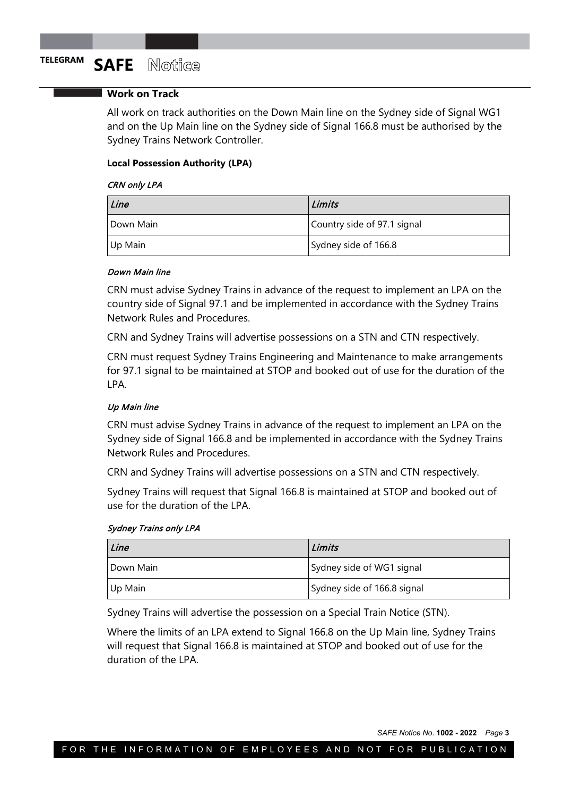## **Work on Track**

All work on track authorities on the Down Main line on the Sydney side of Signal WG1 and on the Up Main line on the Sydney side of Signal 166.8 must be authorised by the Sydney Trains Network Controller.

## **Local Possession Authority (LPA)**

## CRN only LPA

| Line      | Limits                      |
|-----------|-----------------------------|
| Down Main | Country side of 97.1 signal |
| Up Main   | Sydney side of 166.8        |

## Down Main line

CRN must advise Sydney Trains in advance of the request to implement an LPA on the country side of Signal 97.1 and be implemented in accordance with the Sydney Trains Network Rules and Procedures.

CRN and Sydney Trains will advertise possessions on a STN and CTN respectively.

CRN must request Sydney Trains Engineering and Maintenance to make arrangements for 97.1 signal to be maintained at STOP and booked out of use for the duration of the LPA.

## Up Main line

CRN must advise Sydney Trains in advance of the request to implement an LPA on the Sydney side of Signal 166.8 and be implemented in accordance with the Sydney Trains Network Rules and Procedures.

CRN and Sydney Trains will advertise possessions on a STN and CTN respectively.

Sydney Trains will request that Signal 166.8 is maintained at STOP and booked out of use for the duration of the LPA.

## Sydney Trains only LPA

| Line      | Limits                      |
|-----------|-----------------------------|
| Down Main | Sydney side of WG1 signal   |
| Up Main   | Sydney side of 166.8 signal |

Sydney Trains will advertise the possession on a Special Train Notice (STN).

Where the limits of an LPA extend to Signal 166.8 on the Up Main line, Sydney Trains will request that Signal 166.8 is maintained at STOP and booked out of use for the duration of the LPA.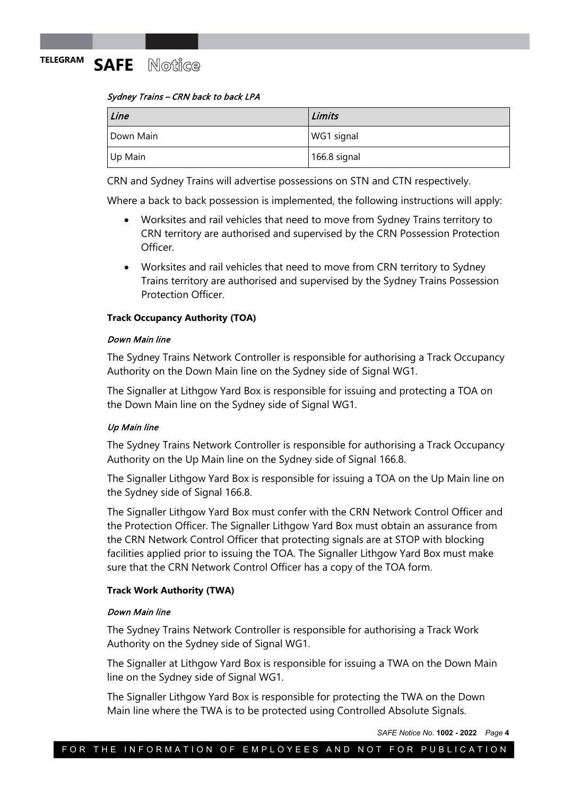## Sydney Trains – CRN back to back LPA

| Line      | Limits       |
|-----------|--------------|
| Down Main | WG1 signal   |
| Up Main   | 166.8 signal |

CRN and Sydney Trains will advertise possessions on STN and CTN respectively.

Where a back to back possession is implemented, the following instructions will apply:

- Worksites and rail vehicles that need to move from Sydney Trains territory to CRN territory are authorised and supervised by the CRN Possession Protection **Officer**
- Worksites and rail vehicles that need to move from CRN territory to Sydney Trains territory are authorised and supervised by the Sydney Trains Possession Protection Officer.

## **Track Occupancy Authority (TOA)**

## Down Main line

The Sydney Trains Network Controller is responsible for authorising a Track Occupancy Authority on the Down Main line on the Sydney side of Signal WG1.

The Signaller at Lithgow Yard Box is responsible for issuing and protecting a TOA on the Down Main line on the Sydney side of Signal WG1.

## Up Main line

The Sydney Trains Network Controller is responsible for authorising a Track Occupancy Authority on the Up Main line on the Sydney side of Signal 166.8.

The Signaller Lithgow Yard Box is responsible for issuing a TOA on the Up Main line on the Sydney side of Signal 166.8.

The Signaller Lithgow Yard Box must confer with the CRN Network Control Officer and the Protection Officer. The Signaller Lithgow Yard Box must obtain an assurance from the CRN Network Control Officer that protecting signals are at STOP with blocking facilities applied prior to issuing the TOA. The Signaller Lithgow Yard Box must make sure that the CRN Network Control Officer has a copy of the TOA form.

## **Track Work Authority (TWA)**

## Down Main line

The Sydney Trains Network Controller is responsible for authorising a Track Work Authority on the Sydney side of Signal WG1.

The Signaller at Lithgow Yard Box is responsible for issuing a TWA on the Down Main line on the Sydney side of Signal WG1.

The Signaller Lithgow Yard Box is responsible for protecting the TWA on the Down Main line where the TWA is to be protected using Controlled Absolute Signals.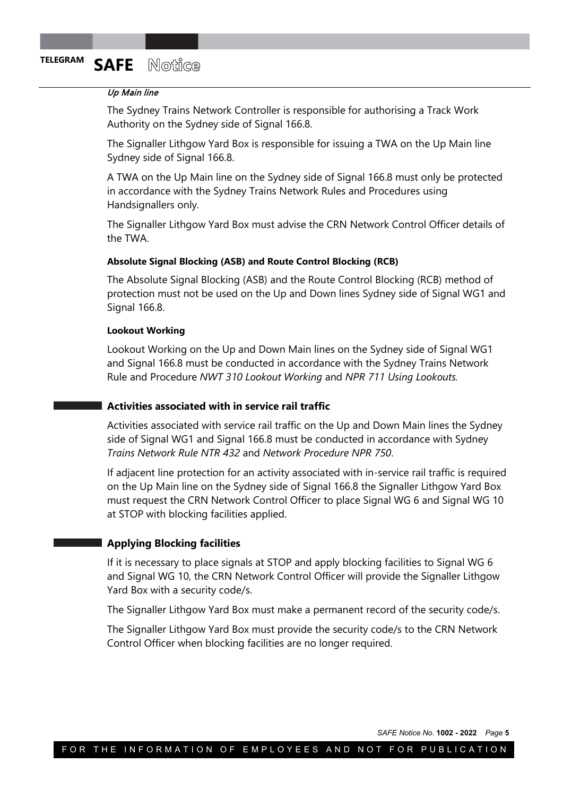## Up Main line

The Sydney Trains Network Controller is responsible for authorising a Track Work Authority on the Sydney side of Signal 166.8.

The Signaller Lithgow Yard Box is responsible for issuing a TWA on the Up Main line Sydney side of Signal 166.8.

A TWA on the Up Main line on the Sydney side of Signal 166.8 must only be protected in accordance with the Sydney Trains Network Rules and Procedures using Handsignallers only.

The Signaller Lithgow Yard Box must advise the CRN Network Control Officer details of the TWA.

## **Absolute Signal Blocking (ASB) and Route Control Blocking (RCB)**

The Absolute Signal Blocking (ASB) and the Route Control Blocking (RCB) method of protection must not be used on the Up and Down lines Sydney side of Signal WG1 and Signal 166.8.

## **Lookout Working**

Lookout Working on the Up and Down Main lines on the Sydney side of Signal WG1 and Signal 166.8 must be conducted in accordance with the Sydney Trains Network Rule and Procedure *NWT 310 Lookout Working* and *NPR 711 Using Lookouts.*

## **Activities associated with in service rail traffic**

Activities associated with service rail traffic on the Up and Down Main lines the Sydney side of Signal WG1 and Signal 166.8 must be conducted in accordance with Sydney *Trains Network Rule NTR 432* and *Network Procedure NPR 750*.

If adjacent line protection for an activity associated with in-service rail traffic is required on the Up Main line on the Sydney side of Signal 166.8 the Signaller Lithgow Yard Box must request the CRN Network Control Officer to place Signal WG 6 and Signal WG 10 at STOP with blocking facilities applied.

## **Applying Blocking facilities**

If it is necessary to place signals at STOP and apply blocking facilities to Signal WG 6 and Signal WG 10, the CRN Network Control Officer will provide the Signaller Lithgow Yard Box with a security code/s.

The Signaller Lithgow Yard Box must make a permanent record of the security code/s.

The Signaller Lithgow Yard Box must provide the security code/s to the CRN Network Control Officer when blocking facilities are no longer required.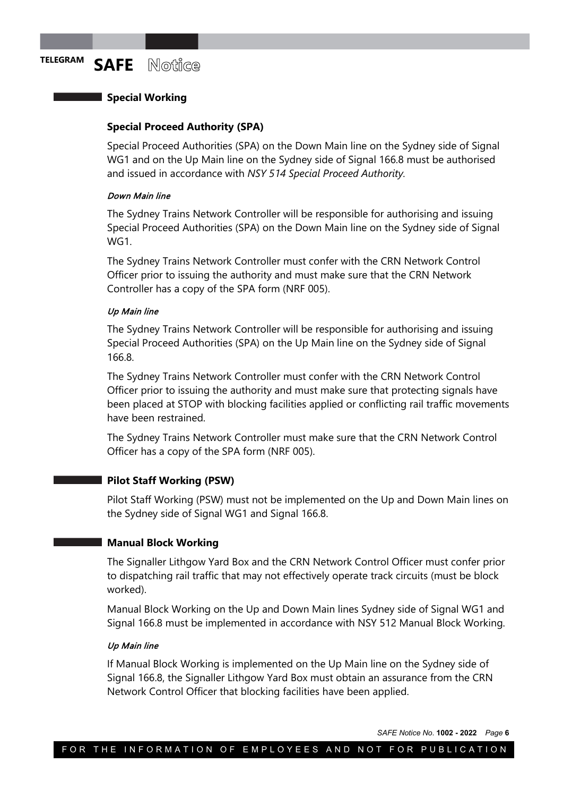## **Special Working**

## **Special Proceed Authority (SPA)**

Special Proceed Authorities (SPA) on the Down Main line on the Sydney side of Signal WG1 and on the Up Main line on the Sydney side of Signal 166.8 must be authorised and issued in accordance with *NSY 514 Special Proceed Authority.*

## Down Main line

The Sydney Trains Network Controller will be responsible for authorising and issuing Special Proceed Authorities (SPA) on the Down Main line on the Sydney side of Signal WG1.

The Sydney Trains Network Controller must confer with the CRN Network Control Officer prior to issuing the authority and must make sure that the CRN Network Controller has a copy of the SPA form (NRF 005).

## Up Main line

The Sydney Trains Network Controller will be responsible for authorising and issuing Special Proceed Authorities (SPA) on the Up Main line on the Sydney side of Signal 166.8.

The Sydney Trains Network Controller must confer with the CRN Network Control Officer prior to issuing the authority and must make sure that protecting signals have been placed at STOP with blocking facilities applied or conflicting rail traffic movements have been restrained.

The Sydney Trains Network Controller must make sure that the CRN Network Control Officer has a copy of the SPA form (NRF 005).

## **Pilot Staff Working (PSW)**

Pilot Staff Working (PSW) must not be implemented on the Up and Down Main lines on the Sydney side of Signal WG1 and Signal 166.8.

## **Manual Block Working**

The Signaller Lithgow Yard Box and the CRN Network Control Officer must confer prior to dispatching rail traffic that may not effectively operate track circuits (must be block worked).

Manual Block Working on the Up and Down Main lines Sydney side of Signal WG1 and Signal 166.8 must be implemented in accordance with NSY 512 Manual Block Working.

## Up Main line

If Manual Block Working is implemented on the Up Main line on the Sydney side of Signal 166.8, the Signaller Lithgow Yard Box must obtain an assurance from the CRN Network Control Officer that blocking facilities have been applied.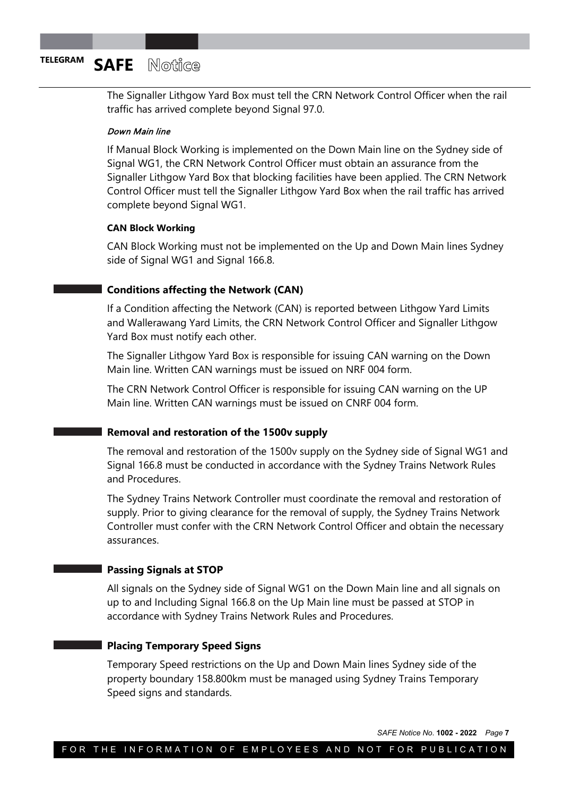The Signaller Lithgow Yard Box must tell the CRN Network Control Officer when the rail traffic has arrived complete beyond Signal 97.0.

## Down Main line

If Manual Block Working is implemented on the Down Main line on the Sydney side of Signal WG1, the CRN Network Control Officer must obtain an assurance from the Signaller Lithgow Yard Box that blocking facilities have been applied. The CRN Network Control Officer must tell the Signaller Lithgow Yard Box when the rail traffic has arrived complete beyond Signal WG1.

## **CAN Block Working**

CAN Block Working must not be implemented on the Up and Down Main lines Sydney side of Signal WG1 and Signal 166.8.

## **Conditions affecting the Network (CAN)**

If a Condition affecting the Network (CAN) is reported between Lithgow Yard Limits and Wallerawang Yard Limits, the CRN Network Control Officer and Signaller Lithgow Yard Box must notify each other.

The Signaller Lithgow Yard Box is responsible for issuing CAN warning on the Down Main line. Written CAN warnings must be issued on NRF 004 form.

The CRN Network Control Officer is responsible for issuing CAN warning on the UP Main line. Written CAN warnings must be issued on CNRF 004 form.

## **Removal and restoration of the 1500v supply**

The removal and restoration of the 1500v supply on the Sydney side of Signal WG1 and Signal 166.8 must be conducted in accordance with the Sydney Trains Network Rules and Procedures.

The Sydney Trains Network Controller must coordinate the removal and restoration of supply. Prior to giving clearance for the removal of supply, the Sydney Trains Network Controller must confer with the CRN Network Control Officer and obtain the necessary assurances.

## **Passing Signals at STOP**

All signals on the Sydney side of Signal WG1 on the Down Main line and all signals on up to and Including Signal 166.8 on the Up Main line must be passed at STOP in accordance with Sydney Trains Network Rules and Procedures.

## **Placing Temporary Speed Signs**

Temporary Speed restrictions on the Up and Down Main lines Sydney side of the property boundary 158.800km must be managed using Sydney Trains Temporary Speed signs and standards.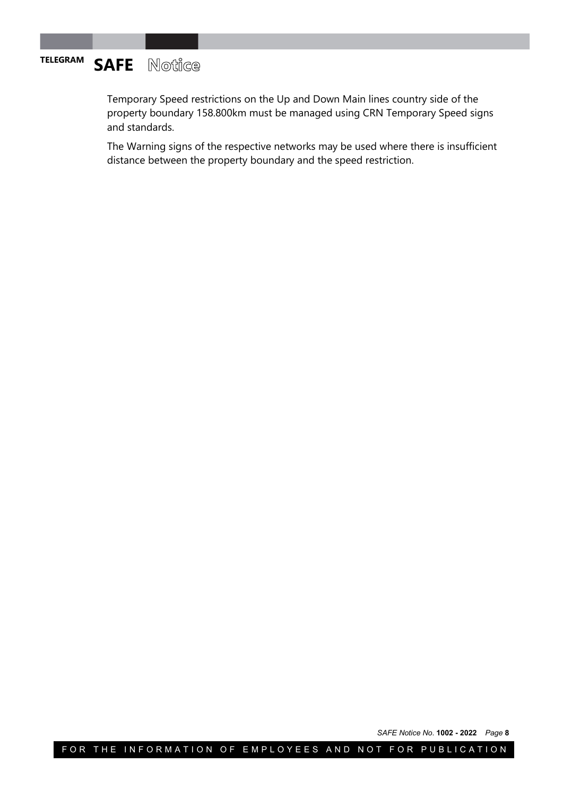## **TELEGRAM SAFE** Notice

Temporary Speed restrictions on the Up and Down Main lines country side of the property boundary 158.800km must be managed using CRN Temporary Speed signs and standards.

The Warning signs of the respective networks may be used where there is insufficient distance between the property boundary and the speed restriction.